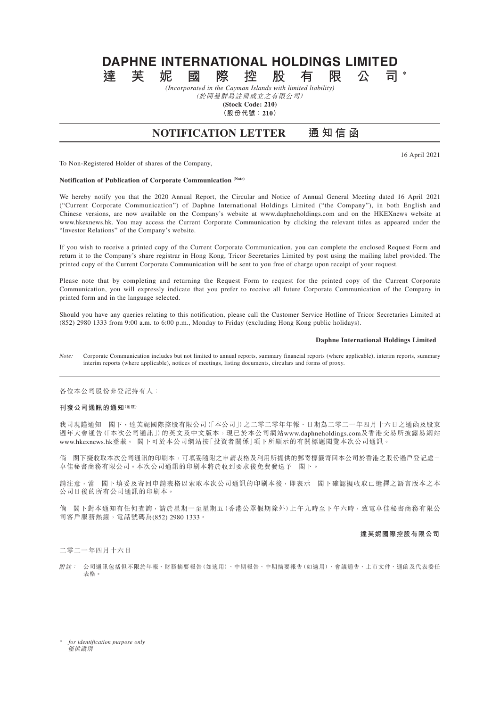# **DAPHNE INTERNATIONAL HOLDINGS LIMITED 達芙妮國際控股有限公司 \***

*(Incorporated in the Cayman Islands with limited liability)*

(於開曼群島註冊成立之有限公司) **(Stock Code: 210)**

**(股份代號:210)**

# **NOTIFICATION LETTER 通知信函**

16 April 2021

To Non-Registered Holder of shares of the Company,

# **Notification of Publication of Corporate Communication (Note)**

We hereby notify you that the 2020 Annual Report, the Circular and Notice of Annual General Meeting dated 16 April 2021 ("Current Corporate Communication") of Daphne International Holdings Limited ("the Company"), in both English and Chinese versions, are now available on the Company's website at www.daphneholdings.com and on the HKEXnews website at www.hkexnews.hk. You may access the Current Corporate Communication by clicking the relevant titles as appeared under the "Investor Relations" of the Company's website.

If you wish to receive a printed copy of the Current Corporate Communication, you can complete the enclosed Request Form and return it to the Company's share registrar in Hong Kong, Tricor Secretaries Limited by post using the mailing label provided. The printed copy of the Current Corporate Communication will be sent to you free of charge upon receipt of your request.

Please note that by completing and returning the Request Form to request for the printed copy of the Current Corporate Communication, you will expressly indicate that you prefer to receive all future Corporate Communication of the Company in printed form and in the language selected.

Should you have any queries relating to this notification, please call the Customer Service Hotline of Tricor Secretaries Limited at (852) 2980 1333 from 9:00 a.m. to 6:00 p.m., Monday to Friday (excluding Hong Kong public holidays).

#### **Daphne International Holdings Limited**

*Note:* Corporate Communication includes but not limited to annual reports, summary financial reports (where applicable), interim reports, summary interim reports (where applicable), notices of meetings, listing documents, circulars and forms of proxy.

各位本公司股份非登記持有人:

# **刊發公司通訊的通知(附註)**

我司現謹通知 閣下,達芙妮國際控股有限公司(「本公司」)之二零二零年年報、日期為二零二一年四月十六日之通函及股東 週年大會通告(「本次公司通訊」)的英文及中文版本,現已於本公司網站www.daphneholdings.com及香港交易所披露易網站 www.hkexnews.hk登載。 閣下可於本公司網站按「投資者關係」項下所顯示的有關標題閱覽本次公司通訊。

倘 閣下擬收取本次公司通訊的印刷本,可填妥隨附之申請表格及利用所提供的郵寄標籤寄回本公司於香港之股份過戶登記處- 卓佳秘書商務有限公司。本次公司通訊的印刷本將於收到要求後免費發送予 閣下。

請注意,當 閣下填妥及寄回申請表格以索取本次公司通訊的印刷本後,即表示 閣下確認擬收取已選擇之語言版本之本 公司日後的所有公司通訊的印刷本。

倘 閣下對本通知有任何查詢,請於星期一至星期五(香港公眾假期除外)上午九時至下午六時,致電卓佳秘書商務有限公 司客戶服務熱線,電話號碼為(852) 2980 1333。

#### **達芙妮國際控股有限公司**

二零二一年四月十六日

附註: 公司通訊包括但不限於年報、財務摘要報告(如適用)、中期報告、中期摘要報告(如適用)、會議通告、上市文件、通函及代表委任 表格。

\* *for identification purpose only* 僅供識別